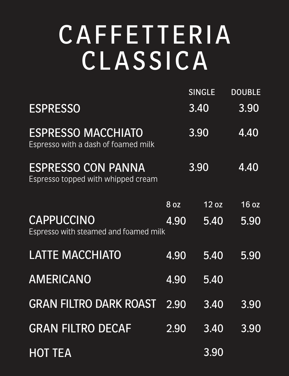### CAFFETTERIA CLASSICA

ESPRESSO MACCHIATO Espresso with a dash of foamed milk

ESPRESSO CON PANNA

Espresso topped with whipped cream

|                 | SINGLE DOUBLE |      |
|-----------------|---------------|------|
| <b>ESPRESSO</b> | 3.40          | 3.90 |

3.90 4.40

3.90 4.40

|                                                     | 8 oz | 12 oz          | 16 oz |
|-----------------------------------------------------|------|----------------|-------|
| CAPPUCCINO<br>Espresso with steamed and foamed milk | 4.90 | 5.40           | 5.90  |
| <b>LATTE MACCHIATO</b>                              | 4.90 | 5.40           | 5.90  |
| AMERICANO                                           | 4.90 | 5.40           |       |
| GRAN FILTRO DARK ROAST 2.90 3.40 3.90               |      |                |       |
| <b>GRAN FILTRO DECAF</b>                            |      | 2.90 3.40 3.90 |       |
| <b>HOT TEA</b>                                      |      | 3.90           |       |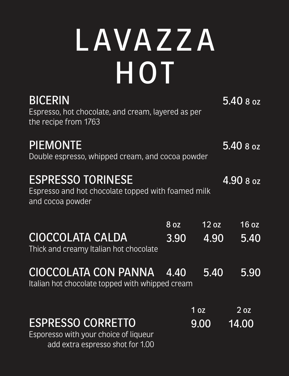# LAVAZZA HOT



Espresso, hot chocolate, and cream, layered as per the recipe from 1763

### PIEMONTE

Double espresso, whipped cream, and cocoa powder

### ESPRESSO TORINESE

Espresso and hot chocolate topped with foamed milk and cocoa powder

5.40 8 oz

5.40 8 oz

4.90 8 oz

Thick and creamy Italian hot chocolate

#### 8 oz 12 oz 16 oz CIOCCOLATA CALDA 3.90 4.90 5.40

Italian hot chocolate topped with whipped cream

ESPRESSO CORRETTO

#### CIOCCOLATA CON PANNA 4.40 5.40 5.90

Esporesso with your choice of liqueur add extra espresso shot for 1.00

1 oz 2 oz 9.00 14.00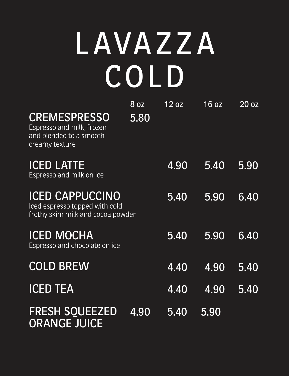# LAVAZZA COLD

### CREMESPRESSO

Espresso and milk, frozen and blended to a smooth creamy texture

#### ICED LATTE Espresso and milk on ice

8 oz 12 oz 16 oz 20 oz 5.80

| ICED CAPPUCCINO<br>Iced espresso topped with cold<br>frothy skim milk and cocoa powder | 5.40 | 5.90           | 6.40          |
|----------------------------------------------------------------------------------------|------|----------------|---------------|
| <b>ICED MOCHA</b><br>Espresso and chocolate on ice                                     | 5.40 | 5.90           | 6.40          |
| <b>COLD BREW</b>                                                                       | 4.40 | 4.90           | <b>157407</b> |
| <b>ICED TEA</b>                                                                        |      | 4.40 4.90 5.40 |               |
| FRESH SQUEEZED 4.90 5.40 5.90<br>ORANGE JUICE                                          |      |                |               |

### 4.90 5.40 5.90